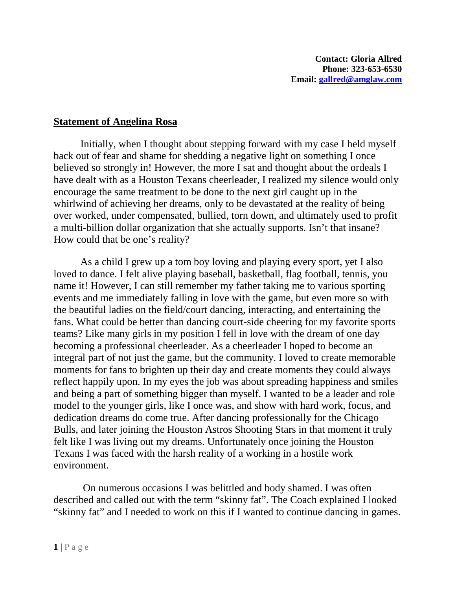## **Statement of Angelina Rosa**

Initially, when I thought about stepping forward with my case I held myself back out of fear and shame for shedding a negative light on something I once believed so strongly in! However, the more I sat and thought about the ordeals I have dealt with as a Houston Texans cheerleader, I realized my silence would only encourage the same treatment to be done to the next girl caught up in the whirlwind of achieving her dreams, only to be devastated at the reality of being over worked, under compensated, bullied, torn down, and ultimately used to profit a multi-billion dollar organization that she actually supports. Isn't that insane? How could that be one's reality?

As a child I grew up a tom boy loving and playing every sport, yet I also loved to dance. I felt alive playing baseball, basketball, flag football, tennis, you name it! However, I can still remember my father taking me to various sporting events and me immediately falling in love with the game, but even more so with the beautiful ladies on the field/court dancing, interacting, and entertaining the fans. What could be better than dancing court-side cheering for my favorite sports teams? Like many girls in my position I fell in love with the dream of one day becoming a professional cheerleader. As a cheerleader I hoped to become an integral part of not just the game, but the community. I loved to create memorable moments for fans to brighten up their day and create moments they could always reflect happily upon. In my eyes the job was about spreading happiness and smiles and being a part of something bigger than myself. I wanted to be a leader and role model to the younger girls, like I once was, and show with hard work, focus, and dedication dreams do come true. After dancing professionally for the Chicago Bulls, and later joining the Houston Astros Shooting Stars in that moment it truly felt like I was living out my dreams. Unfortunately once joining the Houston Texans I was faced with the harsh reality of a working in a hostile work environment.

On numerous occasions I was belittled and body shamed. I was often described and called out with the term "skinny fat". The Coach explained I looked "skinny fat" and I needed to work on this if I wanted to continue dancing in games.